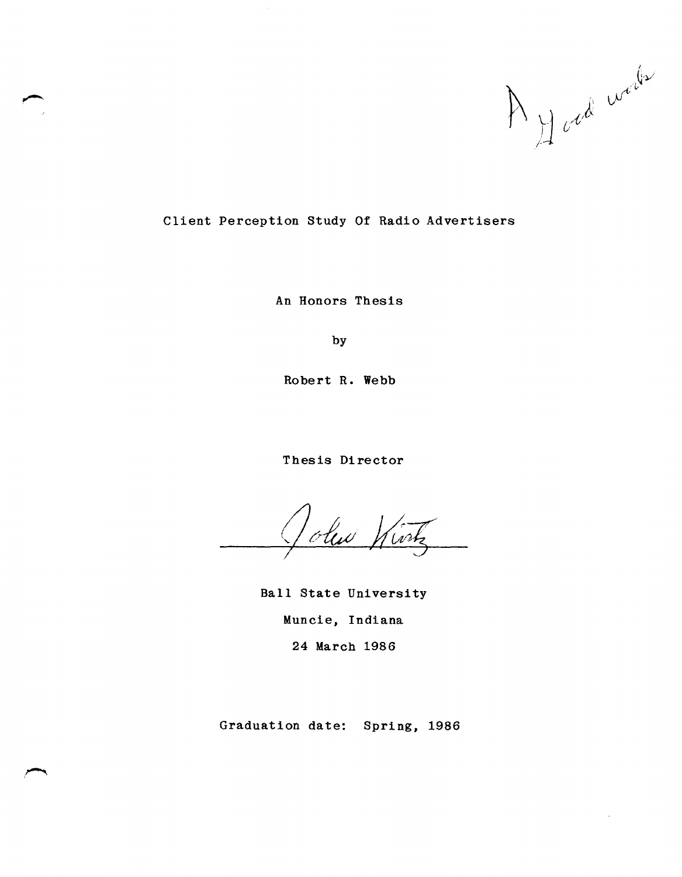A J cod work

 $\bar{\mathcal{A}}$ 

# Client Perception Study Of Radio Advertisers

An Honors Thesis

by

Robert R. Webb

Thesis Director

olen Wink

Ball State University Muncie, Indiana 24 March 1986

Graduation date: Spring, 1986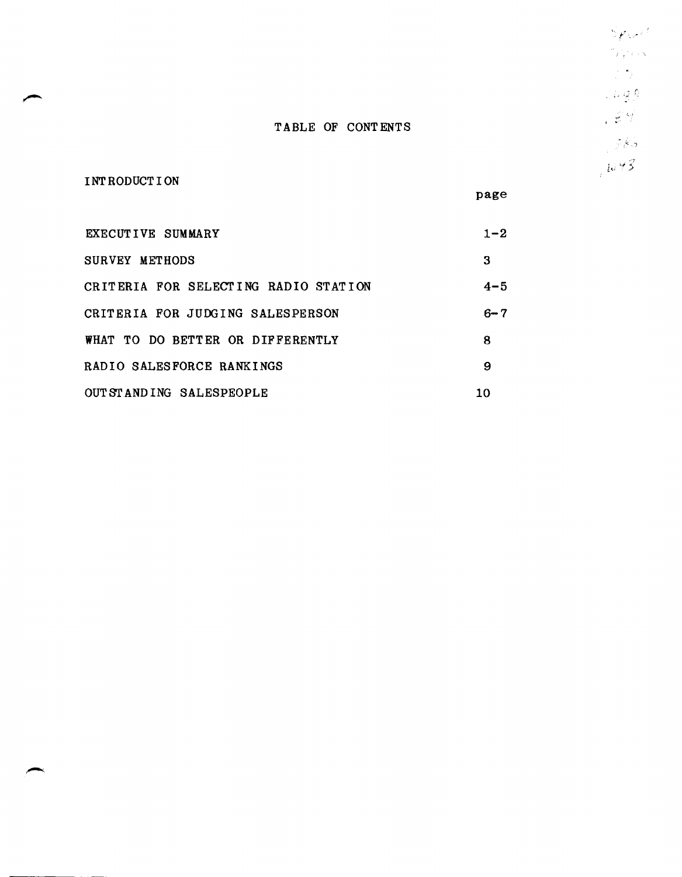TABLE OF CONTENTS

INT RODUCT I ON

page

| EXECUTIVE SUMMARY                    | $1 - 2$ |
|--------------------------------------|---------|
| SURVEY METHODS                       | З       |
| CRITERIA FOR SELECTING RADIO STATION | $4 - 5$ |
| CRITERIA FOR JUDGING SALESPERSON     | $6 - 7$ |
| WHAT TO DO BETTER OR DIFFERENTLY     | 8       |
| RADIO SALESFORCE RANKINGS            | 9       |
| OUT STANDING SALESPEOPLE             | 10      |

 $S$  point  $\frac{1}{2} \int_{-\frac{1}{2}}^{\frac{1}{2}} \int_{-\frac{1}{2}}^{\frac{1}{2}} \int_{-\frac{1}{2}}^{\frac{1}{2}} \int_{-\frac{1}{2}}^{\frac{1}{2}} \int_{-\frac{1}{2}}^{\frac{1}{2}} \int_{-\frac{1}{2}}^{\frac{1}{2}} \int_{-\frac{1}{2}}^{\frac{1}{2}} \int_{-\frac{1}{2}}^{\frac{1}{2}} \int_{-\frac{1}{2}}^{\frac{1}{2}} \int_{-\frac{1}{2}}^{\frac{1}{2}} \int_{-\frac{1}{2}}^{\frac{1}{2}} \int_{-\frac{1}{2}}^{\frac{1$  $\frac{1}{2} \sum_{i=1}^n \frac{1}{i!}$  $Log \hat{\beta}$  $. \in \mathcal{V}$  $\frac{1}{2} \frac{1}{2} \frac{\dot{\mathcal{S}}}{\mathcal{S}}$  $\frac{1}{2}1493$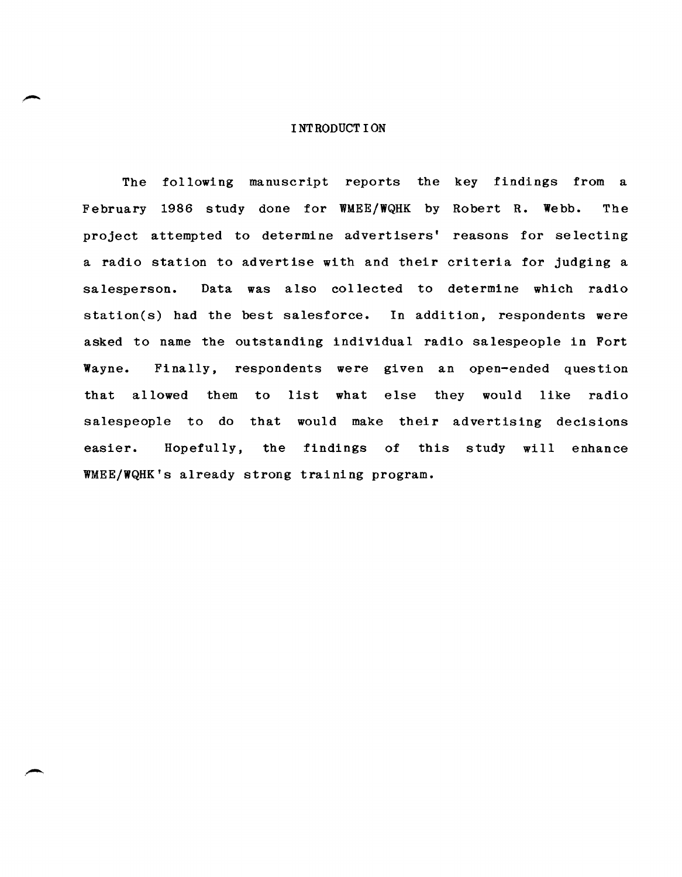#### I NT RODUCT ION

The following manuscript reports the key findings from a February 1986 study done for WMEE/WQHK by Robert R. Webb. The project attempted to determine advertisers' reasons for selecting a radio station to advertise with and their criteria for judging a salesperson. Data was also collected to determine which radio station(s) had the best salesforce. In addition, respondents were asked to name the outstanding individual radio salespeople in Fort Wayne. Finally, respondents were given an open-ended question that allowed them to list what else they would like radio salespeople to do that would make their advertising decisions easier. Hopefully, the findings of this study will enhance WMEE/WQHK's already strong training program.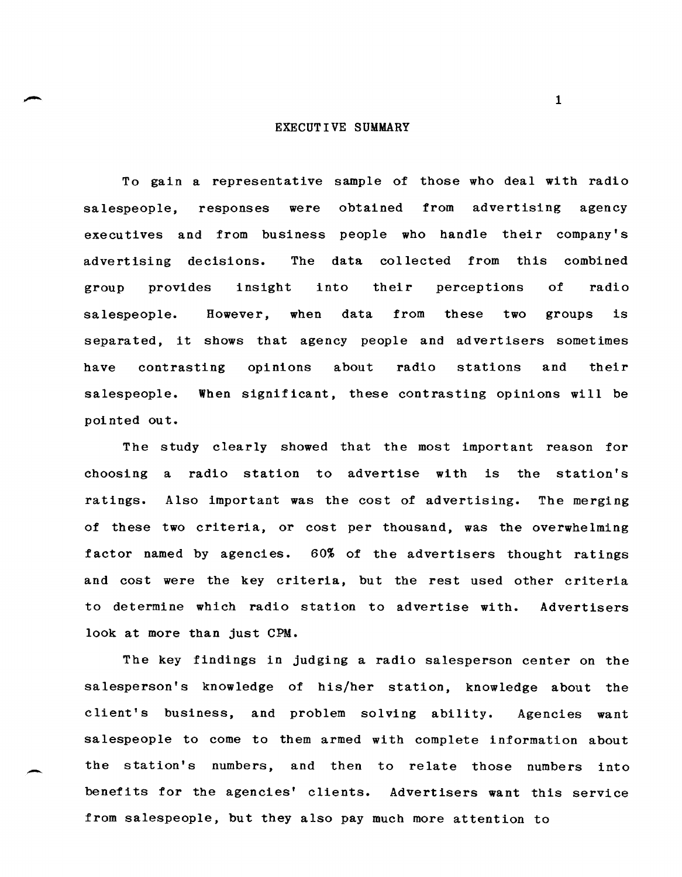#### EXECUTIVE SUMMARY

To gain a representative sample of those who deal with radio salespeople, responses were obtained from advertising agency executives and from business people who handle their company's advertising decisions. The data collected from this combined group provides insight into their perceptions of radio salespeople. However, when data from these two groups is separated, it shows that agency people and advertisers sometimes have contrasting opinions about radio stations and their salespeople. When significant, these contrasting opinions will be pointed out.

The study clearly showed that the most important reason for choosing a radio station to advertise with is the station's ratings. Also important was the cost of advertising. The merging of these two criteria, or cost per thousand, was the overwhelming factor named by agencies. 60% of the advertisers thought ratings and cost were the key criteria, but the rest used other criteria to determine which radio station to advertise with. Advertisers look at more than just CPM.

The key findings in judging a radio salesperson center on the sa lesperson's knowledge of his/her station, knowledge about the client's business, and problem solving ability. Agencies want salespeople to come to them armed with complete information about the station's numbers, and then to relate those numbers into benefits for the agencies' clients. Advertisers want this service from salespeople, but they also pay much more attention to

-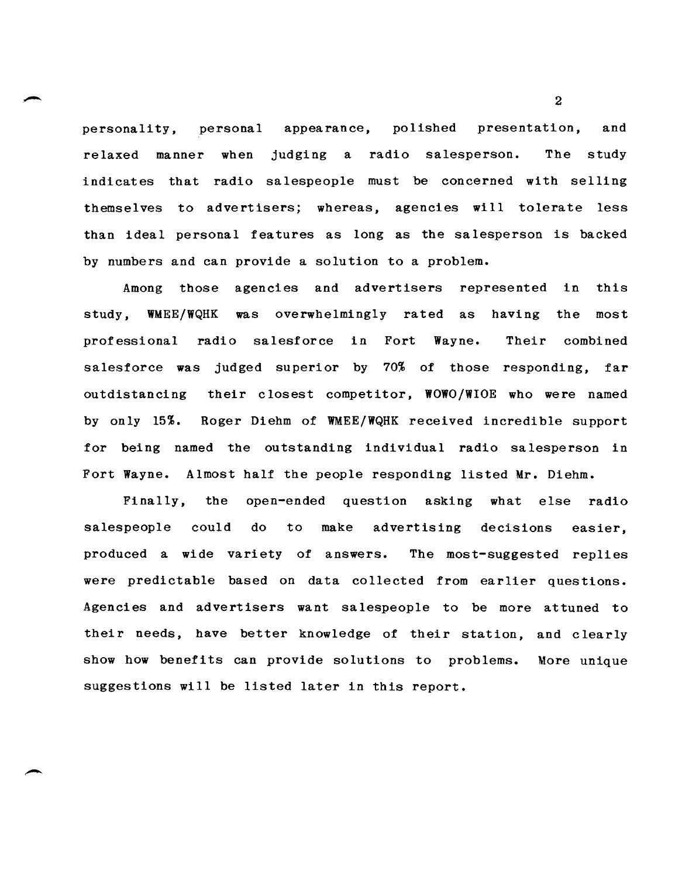personality, personal appearance, polished presentation, and relaxed manner when judging a radio salesperson. indicates that radio salespeople must be concerned with selling The study themselves to advertisers; whereas, agencies will tolerate less than ideal personal features as long as the salesperson is backed by numbers and can provide a solution to a problem.

Among those agencies and advertisers represented in this study, WMEE/WQHK was overwhelmingly rated as having the most professional radio salesforce in Fort Wayne. Their combined salesforce was judged superior by 70% of those responding, far outdistancing their closest competitor, WOWO/WIOE who were named by only 15%. Roger Diehm of WMEE/WQHK received incredible support for being named the outstanding individual radio salesperson in Fort Wayne. Almost half the people responding listed Mr. Diehm.

Finally, the open-ended question asking what else radio do to make advertising decisions easier, The most-suggested replies. salespeople could produced a wide variety of answers. were predictable based on data collected from earlier questions. Agencies and advertisers want salespeople to be more attuned to their needs, have better knowledge of their station, and clearly show how benefits can provide solutions to problems. More unique suggestions will be listed later in this report.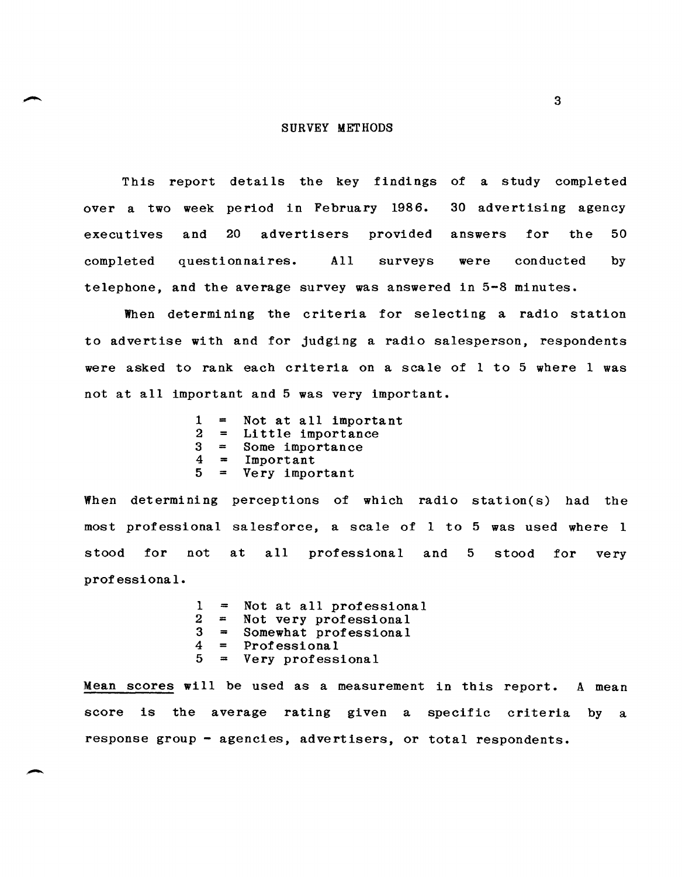#### SURVEY METHODS

This report details the key findings of a study completed over a two week period in February 1986. 30 advertising agency executives and 20 advertisers provided answers for the 50 completed questionnaires. All surveys were conducted by telephone, and the average survey was answered in 5-8 minutes.

When determining the criteria for selecting a radio station to advertise with and for judging a radio salesperson, respondents were asked to rank each criteria on a scale of I to 5 where 1 was not at all important and 5 was very important.

> $1 =$  Not at all important<br> $2 =$  Little importance  $2 =$  Little importance<br> $3 =$  Some importance  $3 =$  Some importance<br> $4 =$  Important  $4 =$  Important<br> $5 =$  Very import 5 <sup>=</sup>Very important

When determining perceptions of which radio station(s) had the most professional salesforce, a scale of I to 5 was used where I stood for not at all professional and 5 stood for very professional.

> $1 =$  Not at all professional<br> $2 =$  Not very professional  $2$  = Not very professional<br> $3$  = Somewhat professional  $3 =$  Somewhat professional<br> $4 =$  Professional  $4 =$  Professional<br> $5 =$  Very profess <sup>5</sup>= Very professional

Mean scores will be used as a measurement in this report. A mean score is the average rating given a specific criteria by a response group - agencies, advertisers, or total respondents.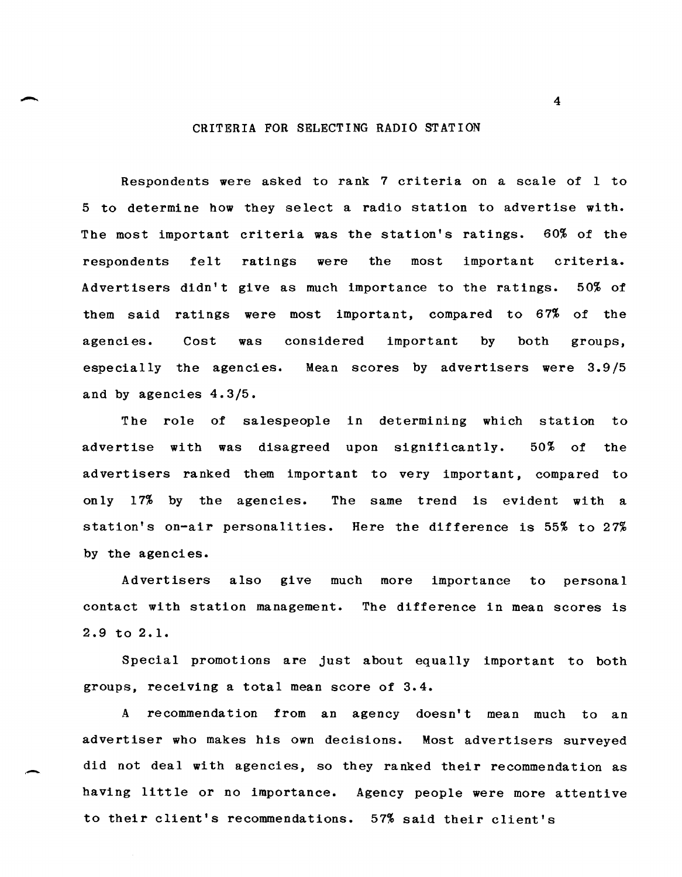#### CRITERIA FOR SELECTING RADIO STATION

Respondents were asked to rank 7 criteria on a scale of 1 to 5 to determine how they select a radio station to advertise with. The most important criteria was the station's ratings. 60% of the respondents felt ratings were the most important criteria. Advertisers didn't give as much importance to the ratings. 50% of them said ratings were most important, compared to 67% of the agencies. Cost was considered important by both groups, especially the agencies. Mean scores by advertisers were 3.9/5 and by agencies 4.3/5.

The role of salespeople in determining which station to advertise with was disagreed upon significantly. 50% of the advertisers ranked them important to very important, compared to only 17% by the agencies. The same trend is evident with a station's on-air personalities. Here the difference is 55% to 27% by the agencies.

Advertisers also give much more importance to personal contact with station management. The difference in mean scores is 2.9 to 2.1.

Special promotions are just about equally important to both groups, receiving a total mean score of 3.4.

A recommendation from an agency doesn't mean much to an advertiser who makes his own decisions. Most advertisers surveyed did not deal with agencies, so they ranked their recommendation as having little or no importance. Agency people were more attentive to their client's recommendations. 57% said their client's

-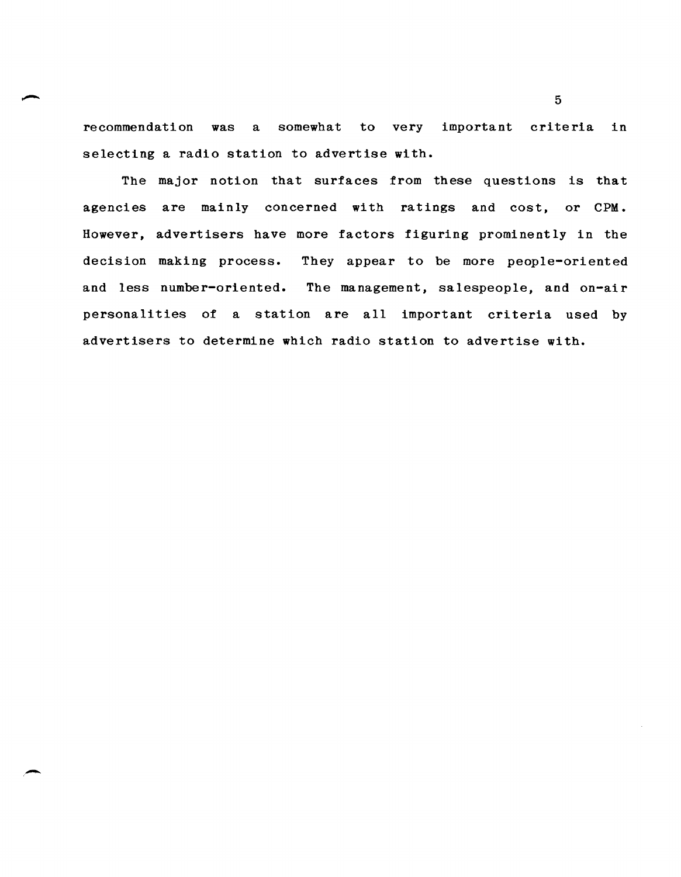recommendation was a somewhat to very important criteria in selecting a radio station to advertise with.

The major notion that surfaces from these questions is that agencies are mainly concerned with ratings and cost, or CPM. However, advertisers have more factors figuring prominently in the decision making process. They appear to be more people-oriented and less number-oriented. The management, salespeople, and on-air personalities of a station are all important criteria used by advertisers to determine which radio station to advertise with.

-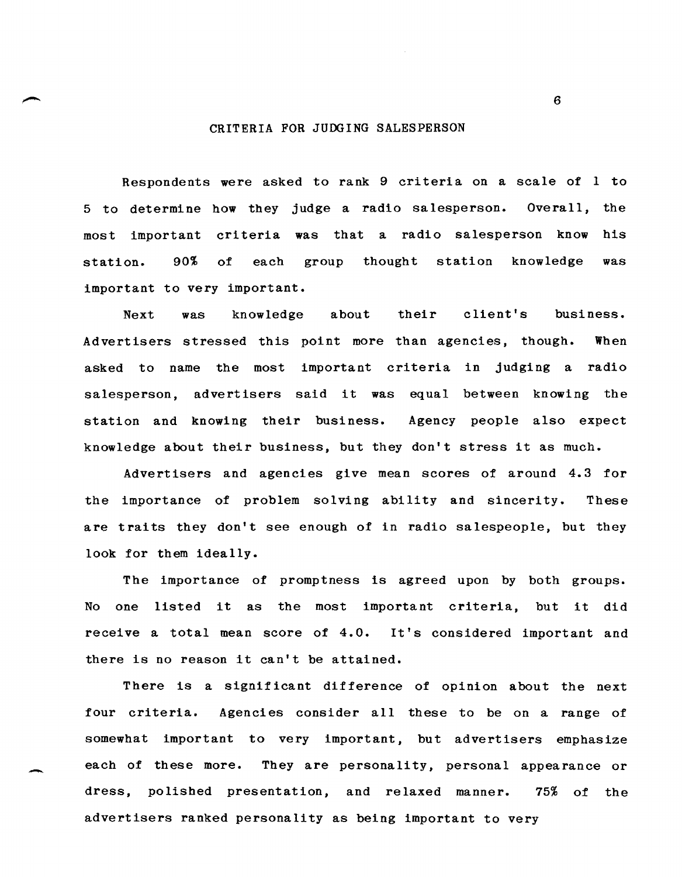#### CRITERIA FOR JUDGING SALESPERSON

Respondents were asked to rank 9 criteria on a scale of I to 5 to determi ne how they judge a radio sa lesperson. Overall, the most important criteria was that a radio salesperson know his station. 90% of each group thought station knowledge was important to very important.

Next was knowledge about their client's business. Ad vert isers stressed this point more than agencies, though. When asked to name the most important criteria in judging a radio salesperson, advertisers said it was equal between knowing the station and knowing their business. Agency people also expect knowledge about their business, but they don't stress it as much.

Advertisers and agencies give mean scores of around 4.3 for the importance of problem solving ability and sincerity. These are traits they don't see enough of in radio salespeople, but they look for them ideally.

The importance of promptness is agreed upon by both groups. No one listed it as the most important criteria, but it did receive a total mean score of 4.0. It's considered important and there is no reason it can't be attained.

There is a significant difference of opinion about the next four criteria. Agencies consider all these to be on a range of somewhat important to very important, but advertisers emphasize each of these more. They are personality, personal appearance or dress, polished presentation, and relaxed manner. 75% of the advertisers ranked personality as being important to very

-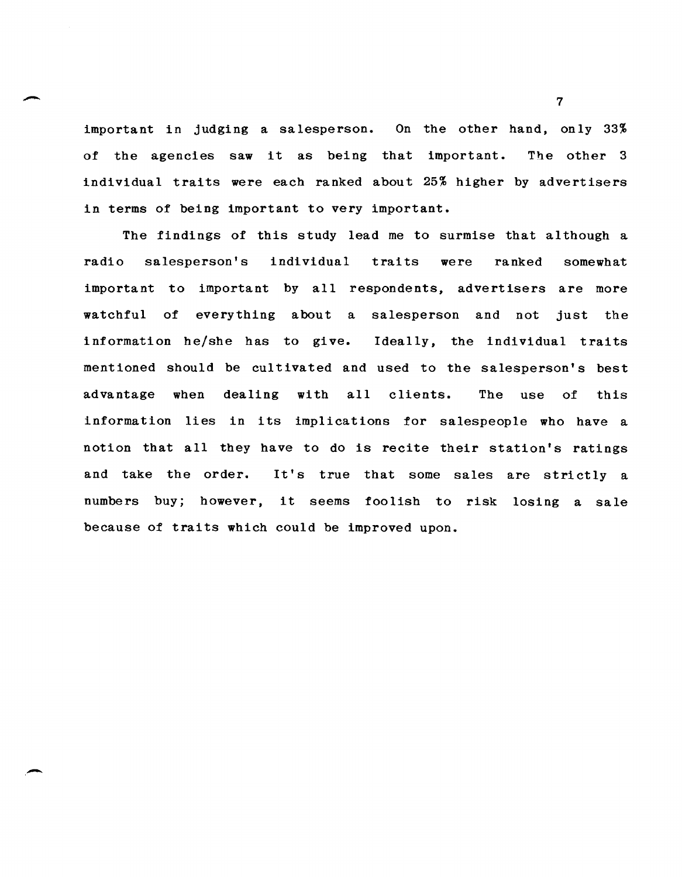important in judging a salesperson. On the other hand, only 33% of the agencies saw it as being that important. The other 3 individual traits were each ranked about 25% higher by advertisers in terms of being important to very important.

-

,-

The findings of this study lead me to surmise that although a radio salesperson's individual traits were ranked somewhat important to important by all respondents, advertisers are more watchful of everything about a salesperson and not just the information he/she has to give. Ideally, the individual traits mentioned should be cultivated and used to the salesperson's best advantage when dealing with all clients. The use of this information lies in its implications for salespeople who have a notion that all they have to do is recite their station's ratings and take the order. It's true that some sales are strictly a numbers buy; however, it seems foolish to risk losing a sale because of traits which could be improved upon.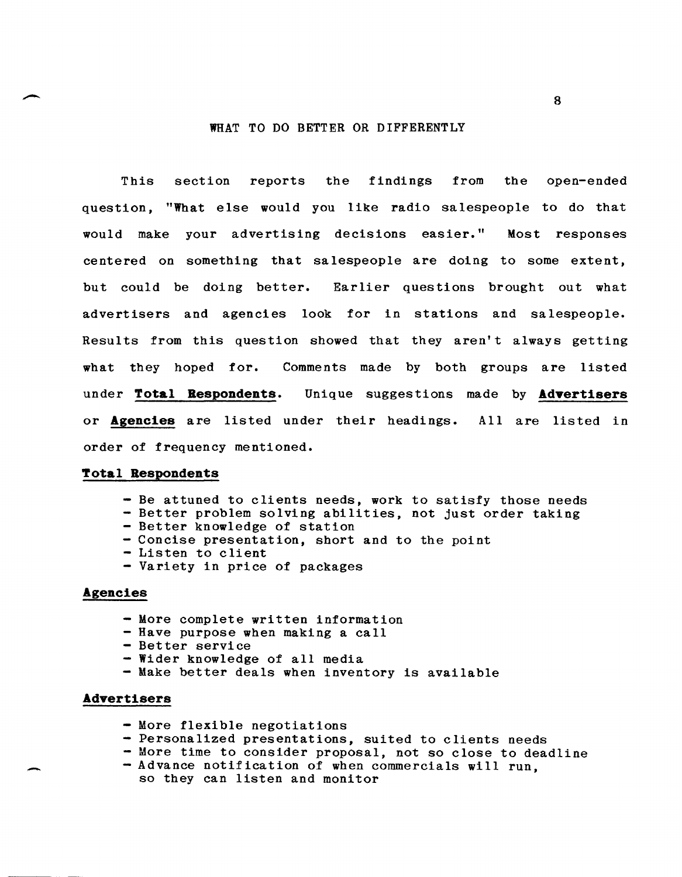#### WHAT TO DO BETTER OR DIFFERENTLY

This section reports the findings from the open-ended question, "What else would you like radio salespeople to do that would make your advertising decisions easier." Most responses centered on something that sa lespeople are doing to some extent, but could be doing better. Earlier questions brought out what advertisers and agencies look for in stations and salespeople. Results from this question showed that they aren't always getting what they hoped for. Comments made by both groups are listed un de r **Total Respondents.** Unique suggestions made by **AdYertisers**  or **Agencies** are listed under their headings. All are listed in order of frequency mentioned.

#### **Total Respondents**

- Be attuned to clients needs, work to satisfy those needs
- Better problem solving abilities, not just order taking
- Better knowledge of station
- Concise presentation, short and to the point
- Listen to client
- Variety in price of packages

## **Agencies**

- More complete written information
- Have purpose when making a call
- Better service
- Wider knowledge of all media
- Make better deals when inventory is available

#### **AdYertisers**

-

- More flexible negotiations
- Personalized presentations, suited to clients needs
- More time to consider proposal, not so close to deadline
- Advance notification of when commercials will run, so they can listen and monitor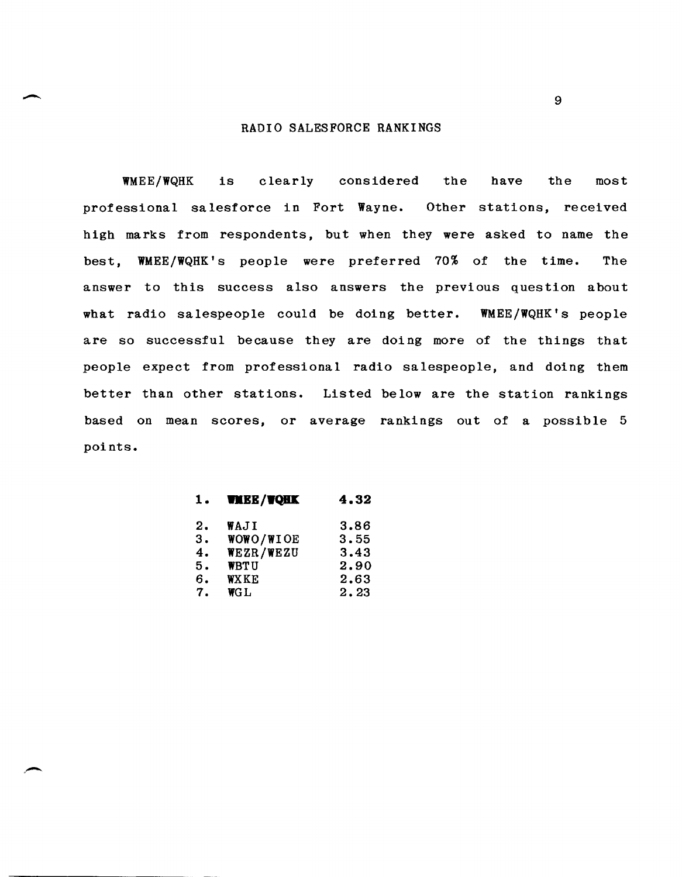#### RADIO SALESFORCE RANKINGS

WMEE/WQHK is clearly considered the have the most professional salesforce in Fort Wayne. Other stations, received high marks from respondents, but when they were asked to name the best, WMEE/WQHK's people were preferred 70% of the time. The answer to this success also answers the previous question about what radio salespeople could be doing better. WMEE/WQHK's people are so successful because they are doing more of the things that people expect from professional radio salespeople, and doing them better than other stations. Listed below are the station rankings based on mean scores, or average rankings out of a possible 5 points.

| <b>VMEE/VQHK</b> | 4.32 |
|------------------|------|
| WAJI             | 3.86 |
| WOWO/WIOE        | 3.55 |
| WEZR/WEZU        | 3.43 |
| <b>WBTU</b>      | 2.90 |
| <b>WX KE</b>     | 2.63 |
| <b>WGL</b>       | 2.23 |
|                  |      |